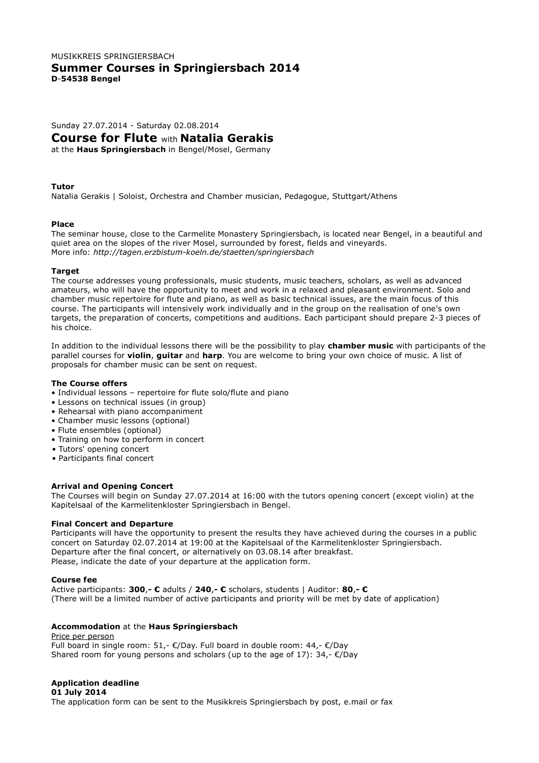# MUSIKKREIS SPRINGIERSBACH **Summer Courses in Springiersbach 2014 D**-**54538 Bengel**

Sunday 27.07.2014 - Saturday 02.08.2014

**Course for Flute** with **Natalia Gerakis**

at the **Haus Springiersbach** in Bengel/Mosel, Germany

### **Tutor**

Natalia Gerakis | Soloist, Orchestra and Chamber musician, Pedagogue, Stuttgart/Athens

### **Place**

The seminar house, close to the Carmelite Monastery Springiersbach, is located near Bengel, in a beautiful and quiet area on the slopes of the river Mosel, surrounded by forest, fields and vineyards. More info: *http://tagen.erzbistum-koeln.de/staetten/springiersbach*

### **Target**

The course addresses young professionals, music students, music teachers, scholars, as well as advanced amateurs, who will have the opportunity to meet and work in a relaxed and pleasant environment. Solo and chamber music repertoire for flute and piano, as well as basic technical issues, are the main focus of this course. The participants will intensively work individually and in the group on the realisation of one's own targets, the preparation of concerts, competitions and auditions. Each participant should prepare 2-3 pieces of his choice.

In addition to the individual lessons there will be the possibility to play **chamber music** with participants of the parallel courses for **violin**, **guitar** and **harp**. You are welcome to bring your own choice of music. A list of proposals for chamber music can be sent on request.

## **The Course offers**

- Individual lessons repertoire for flute solo/flute and piano
- Lessons on technical issues (in group)
- Rehearsal with piano accompaniment
- Chamber music lessons (optional)
- Flute ensembles (optional)
- Training on how to perform in concert
- Tutors' opening concert
- Participants final concert

### **Arrival and Opening Concert**

The Courses will begin on Sunday 27.07.2014 at 16:00 with the tutors opening concert (except violin) at the Kapitelsaal of the Karmelitenkloster Springiersbach in Bengel.

### **Final Concert and Departure**

Participants will have the opportunity to present the results they have achieved during the courses in a public concert on Saturday 02.07.2014 at 19:00 at the Kapitelsaal of the Karmelitenkloster Springiersbach. Departure after the final concert, or alternatively on 03.08.14 after breakfast. Please, indicate the date of your departure at the application form.

### **Course fee**

Active participants: **300**,**- €** adults / **240**,**- €** scholars, students | Auditor: **80**,**- €** (There will be a limited number of active participants and priority will be met by date of application)

### **Accommodation** at the **Haus Springiersbach**

Price per person Full board in single room: 51,-  $\epsilon$ /Day. Full board in double room: 44,-  $\epsilon$ /Day Shared room for young persons and scholars (up to the age of 17): 34,- $\epsilon$ /Day

## **Application deadline**

**01 July 2014**

The application form can be sent to the Musikkreis Springiersbach by post, e.mail or fax